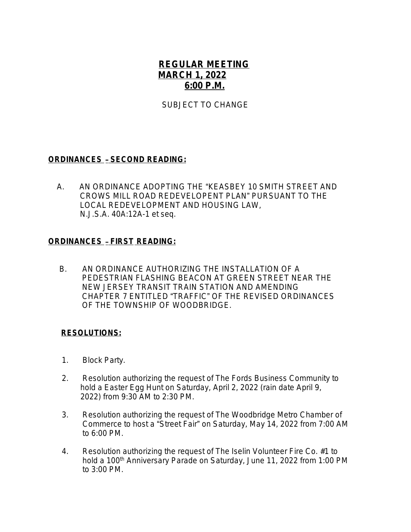## **REGULAR MEETING MARCH 1, 2022 6:00 P.M.**

SUBJECT TO CHANGE

## **ORDINANCES** – **SECOND READING:**

 A.AN ORDINANCE ADOPTING THE "KEASBEY 10 SMITH STREET AND CROWS MILL ROAD REDEVELOPENT PLAN" PURSUANT TO THE LOCAL REDEVELOPMENT AND HOUSING LAW, *N.J.S.A.* 40A:12A-1 *et seq.*

## **ORDINANCES** – **FIRST READING:**

B.AN ORDINANCE AUTHORIZING THE INSTALLATION OF A PEDESTRIAN FLASHING BEACON AT GREEN STREET NEAR THE NEW JERSEY TRANSIT TRAIN STATION AND AMENDING CHAPTER 7 ENTITLED "TRAFFIC" OF THE REVISED ORDINANCES OF THE TOWNSHIP OF WOODBRIDGE.

## **RESOLUTIONS:**

- 1. Block Party.
- 2. Resolution authorizing the request of The Fords Business Community to hold a Easter Egg Hunt on Saturday, April 2, 2022 (rain date April 9, 2022) from 9:30 AM to 2:30 PM.
- 3. Resolution authorizing the request of The Woodbridge Metro Chamber of Commerce to host a "Street Fair" on Saturday, May 14, 2022 from 7:00 AM to 6:00 PM.
- 4. Resolution authorizing the request of The Iselin Volunteer Fire Co. #1 to hold a 100<sup>th</sup> Anniversary Parade on Saturday, June 11, 2022 from 1:00 PM to 3:00 PM.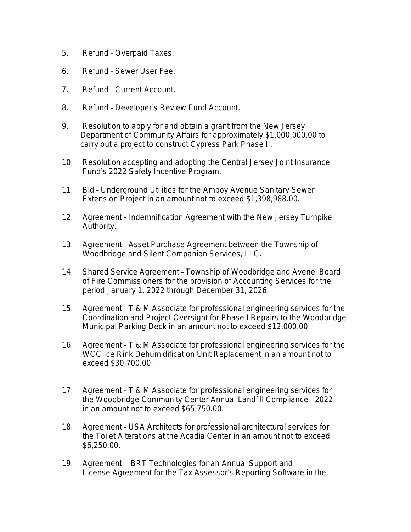- 5. Refund Overpaid Taxes.
- 6. Refund Sewer User Fee.
- 7. Refund Current Account.
- 8. Refund Developer's Review Fund Account.
- 9. Resolution to apply for and obtain a grant from the New Jersey Department of Community Affairs for approximately \$1,000,000.00 to carry out a project to construct Cypress Park Phase II.
- 10. Resolution accepting and adopting the Central Jersey Joint Insurance Fund's 2022 Safety Incentive Program.
- 11. Bid Underground Utilities for the Amboy Avenue Sanitary Sewer Extension Project in an amount not to exceed \$1,398,988.00.
- 12. Agreement Indemnification Agreement with the New Jersey Turnpike Authority.
- 13. Agreement Asset Purchase Agreement between the Township of Woodbridge and Silent Companion Services, LLC.
- 14. Shared Service Agreement Township of Woodbridge and Avenel Board of Fire Commissioners for the provision of Accounting Services for the period January 1, 2022 through December 31, 2026.
- 15. Agreement T & M Associate for professional engineering services for the Coordination and Project Oversight for Phase I Repairs to the Woodbridge Municipal Parking Deck in an amount not to exceed \$12,000.00.
- 16. Agreement T & M Associate for professional engineering services for the WCC Ice Rink Dehumidification Unit Replacement in an amount not to exceed \$30,700.00.
- 17. Agreement T & M Associate for professional engineering services for the Woodbridge Community Center Annual Landfill Compliance – 2022 in an amount not to exceed \$65,750.00.
- 18. Agreement USA Architects for professional architectural services for the Toilet Alterations at the Acadia Center in an amount not to exceed \$6,250.00.
- 19. Agreement BRT Technologies for an Annual Support and License Agreement for the Tax Assessor's Reporting Software in the